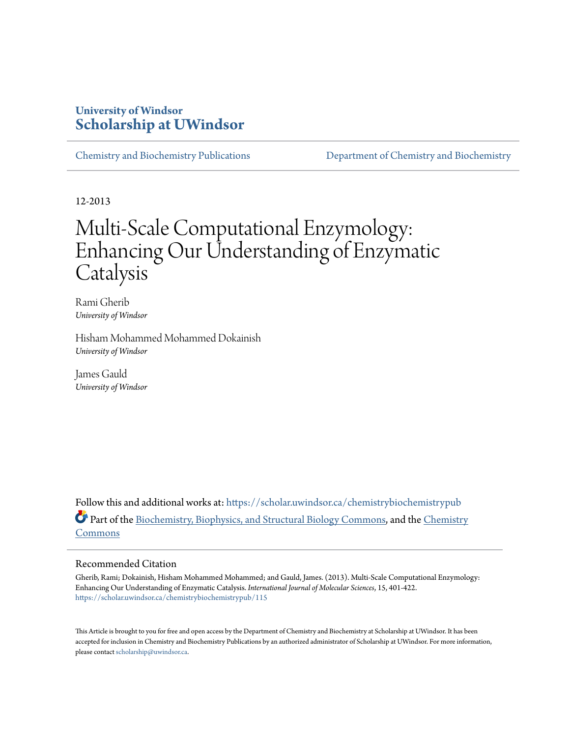### **University of Windsor [Scholarship at UWindsor](https://scholar.uwindsor.ca?utm_source=scholar.uwindsor.ca%2Fchemistrybiochemistrypub%2F115&utm_medium=PDF&utm_campaign=PDFCoverPages)**

[Chemistry and Biochemistry Publications](https://scholar.uwindsor.ca/chemistrybiochemistrypub?utm_source=scholar.uwindsor.ca%2Fchemistrybiochemistrypub%2F115&utm_medium=PDF&utm_campaign=PDFCoverPages) [Department of Chemistry and Biochemistry](https://scholar.uwindsor.ca/chemistrybiochemistry?utm_source=scholar.uwindsor.ca%2Fchemistrybiochemistrypub%2F115&utm_medium=PDF&utm_campaign=PDFCoverPages)

12-2013

# Multi-Scale Computational Enzymology: Enhancing Our Understanding of Enzymatic Catalysis

Rami Gherib *University of Windsor*

Hisham Mohammed Mohammed Dokainish *University of Windsor*

James Gauld *University of Windsor*

Follow this and additional works at: [https://scholar.uwindsor.ca/chemistrybiochemistrypub](https://scholar.uwindsor.ca/chemistrybiochemistrypub?utm_source=scholar.uwindsor.ca%2Fchemistrybiochemistrypub%2F115&utm_medium=PDF&utm_campaign=PDFCoverPages) Part of the [Biochemistry, Biophysics, and Structural Biology Commons](http://network.bepress.com/hgg/discipline/1?utm_source=scholar.uwindsor.ca%2Fchemistrybiochemistrypub%2F115&utm_medium=PDF&utm_campaign=PDFCoverPages), and the [Chemistry](http://network.bepress.com/hgg/discipline/131?utm_source=scholar.uwindsor.ca%2Fchemistrybiochemistrypub%2F115&utm_medium=PDF&utm_campaign=PDFCoverPages) [Commons](http://network.bepress.com/hgg/discipline/131?utm_source=scholar.uwindsor.ca%2Fchemistrybiochemistrypub%2F115&utm_medium=PDF&utm_campaign=PDFCoverPages)

#### Recommended Citation

Gherib, Rami; Dokainish, Hisham Mohammed Mohammed; and Gauld, James. (2013). Multi-Scale Computational Enzymology: Enhancing Our Understanding of Enzymatic Catalysis. *International Journal of Molecular Sciences*, 15, 401-422. [https://scholar.uwindsor.ca/chemistrybiochemistrypub/115](https://scholar.uwindsor.ca/chemistrybiochemistrypub/115?utm_source=scholar.uwindsor.ca%2Fchemistrybiochemistrypub%2F115&utm_medium=PDF&utm_campaign=PDFCoverPages)

This Article is brought to you for free and open access by the Department of Chemistry and Biochemistry at Scholarship at UWindsor. It has been accepted for inclusion in Chemistry and Biochemistry Publications by an authorized administrator of Scholarship at UWindsor. For more information, please contact [scholarship@uwindsor.ca](mailto:scholarship@uwindsor.ca).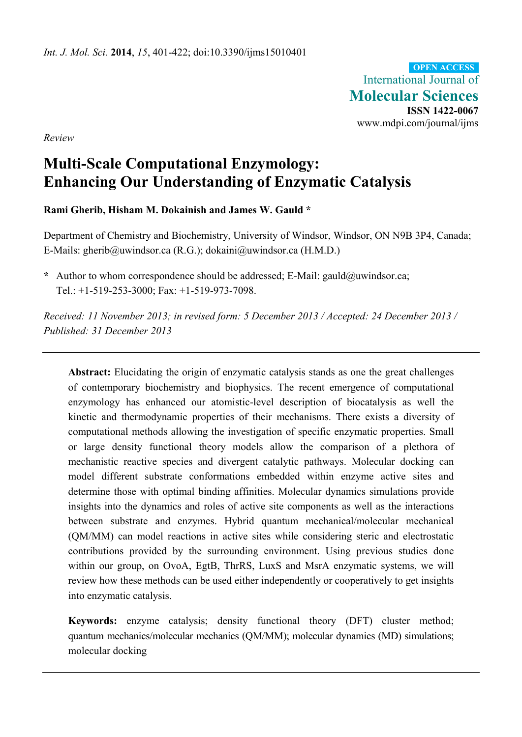International Journal of **Molecular Sciences ISSN 1422-0067**  www.mdpi.com/journal/ijms **OPEN ACCESS**

*Review* 

## **Multi-Scale Computational Enzymology: Enhancing Our Understanding of Enzymatic Catalysis**

#### **Rami Gherib, Hisham M. Dokainish and James W. Gauld \***

Department of Chemistry and Biochemistry, University of Windsor, Windsor, ON N9B 3P4, Canada; E-Mails: gherib@uwindsor.ca (R.G.); dokaini@uwindsor.ca (H.M.D.)

**\*** Author to whom correspondence should be addressed; E-Mail: gauld@uwindsor.ca; Tel.: +1-519-253-3000; Fax: +1-519-973-7098.

*Received: 11 November 2013; in revised form: 5 December 2013 / Accepted: 24 December 2013 / Published: 31 December 2013* 

**Abstract:** Elucidating the origin of enzymatic catalysis stands as one the great challenges of contemporary biochemistry and biophysics. The recent emergence of computational enzymology has enhanced our atomistic-level description of biocatalysis as well the kinetic and thermodynamic properties of their mechanisms. There exists a diversity of computational methods allowing the investigation of specific enzymatic properties. Small or large density functional theory models allow the comparison of a plethora of mechanistic reactive species and divergent catalytic pathways. Molecular docking can model different substrate conformations embedded within enzyme active sites and determine those with optimal binding affinities. Molecular dynamics simulations provide insights into the dynamics and roles of active site components as well as the interactions between substrate and enzymes. Hybrid quantum mechanical/molecular mechanical (QM/MM) can model reactions in active sites while considering steric and electrostatic contributions provided by the surrounding environment. Using previous studies done within our group, on OvoA, EgtB, ThrRS, LuxS and MsrA enzymatic systems, we will review how these methods can be used either independently or cooperatively to get insights into enzymatic catalysis.

**Keywords:** enzyme catalysis; density functional theory (DFT) cluster method; quantum mechanics/molecular mechanics (QM/MM); molecular dynamics (MD) simulations; molecular docking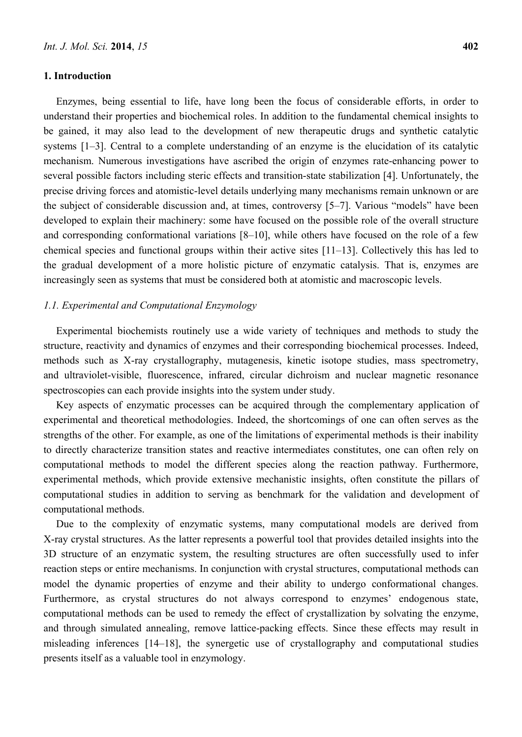#### **1. Introduction**

Enzymes, being essential to life, have long been the focus of considerable efforts, in order to understand their properties and biochemical roles. In addition to the fundamental chemical insights to be gained, it may also lead to the development of new therapeutic drugs and synthetic catalytic systems [1–3]. Central to a complete understanding of an enzyme is the elucidation of its catalytic mechanism. Numerous investigations have ascribed the origin of enzymes rate-enhancing power to several possible factors including steric effects and transition-state stabilization [4]. Unfortunately, the precise driving forces and atomistic-level details underlying many mechanisms remain unknown or are the subject of considerable discussion and, at times, controversy [5–7]. Various "models" have been developed to explain their machinery: some have focused on the possible role of the overall structure and corresponding conformational variations [8–10], while others have focused on the role of a few chemical species and functional groups within their active sites [11–13]. Collectively this has led to the gradual development of a more holistic picture of enzymatic catalysis. That is, enzymes are increasingly seen as systems that must be considered both at atomistic and macroscopic levels.

#### *1.1. Experimental and Computational Enzymology*

Experimental biochemists routinely use a wide variety of techniques and methods to study the structure, reactivity and dynamics of enzymes and their corresponding biochemical processes. Indeed, methods such as X-ray crystallography, mutagenesis, kinetic isotope studies, mass spectrometry, and ultraviolet-visible, fluorescence, infrared, circular dichroism and nuclear magnetic resonance spectroscopies can each provide insights into the system under study.

Key aspects of enzymatic processes can be acquired through the complementary application of experimental and theoretical methodologies. Indeed, the shortcomings of one can often serves as the strengths of the other. For example, as one of the limitations of experimental methods is their inability to directly characterize transition states and reactive intermediates constitutes, one can often rely on computational methods to model the different species along the reaction pathway. Furthermore, experimental methods, which provide extensive mechanistic insights, often constitute the pillars of computational studies in addition to serving as benchmark for the validation and development of computational methods.

Due to the complexity of enzymatic systems, many computational models are derived from X-ray crystal structures. As the latter represents a powerful tool that provides detailed insights into the 3D structure of an enzymatic system, the resulting structures are often successfully used to infer reaction steps or entire mechanisms. In conjunction with crystal structures, computational methods can model the dynamic properties of enzyme and their ability to undergo conformational changes. Furthermore, as crystal structures do not always correspond to enzymes' endogenous state, computational methods can be used to remedy the effect of crystallization by solvating the enzyme, and through simulated annealing, remove lattice-packing effects. Since these effects may result in misleading inferences [14–18], the synergetic use of crystallography and computational studies presents itself as a valuable tool in enzymology.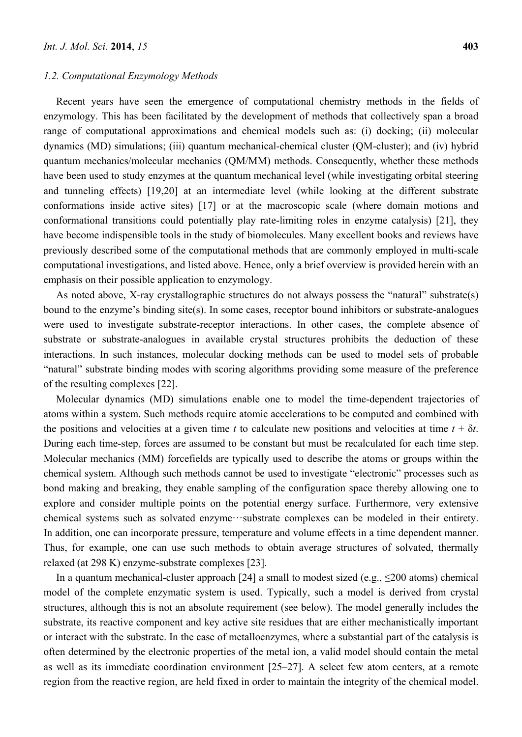#### *1.2. Computational Enzymology Methods*

Recent years have seen the emergence of computational chemistry methods in the fields of enzymology. This has been facilitated by the development of methods that collectively span a broad range of computational approximations and chemical models such as: (i) docking; (ii) molecular dynamics (MD) simulations; (iii) quantum mechanical-chemical cluster (QM-cluster); and (iv) hybrid quantum mechanics/molecular mechanics (QM/MM) methods. Consequently, whether these methods have been used to study enzymes at the quantum mechanical level (while investigating orbital steering and tunneling effects) [19,20] at an intermediate level (while looking at the different substrate conformations inside active sites) [17] or at the macroscopic scale (where domain motions and conformational transitions could potentially play rate-limiting roles in enzyme catalysis) [21], they have become indispensible tools in the study of biomolecules. Many excellent books and reviews have previously described some of the computational methods that are commonly employed in multi-scale computational investigations, and listed above. Hence, only a brief overview is provided herein with an emphasis on their possible application to enzymology.

As noted above, X-ray crystallographic structures do not always possess the "natural" substrate(s) bound to the enzyme's binding site(s). In some cases, receptor bound inhibitors or substrate-analogues were used to investigate substrate-receptor interactions. In other cases, the complete absence of substrate or substrate-analogues in available crystal structures prohibits the deduction of these interactions. In such instances, molecular docking methods can be used to model sets of probable "natural" substrate binding modes with scoring algorithms providing some measure of the preference of the resulting complexes [22].

Molecular dynamics (MD) simulations enable one to model the time-dependent trajectories of atoms within a system. Such methods require atomic accelerations to be computed and combined with the positions and velocities at a given time *t* to calculate new positions and velocities at time  $t + \delta t$ . During each time-step, forces are assumed to be constant but must be recalculated for each time step. Molecular mechanics (MM) forcefields are typically used to describe the atoms or groups within the chemical system. Although such methods cannot be used to investigate "electronic" processes such as bond making and breaking, they enable sampling of the configuration space thereby allowing one to explore and consider multiple points on the potential energy surface. Furthermore, very extensive chemical systems such as solvated enzyme···substrate complexes can be modeled in their entirety. In addition, one can incorporate pressure, temperature and volume effects in a time dependent manner. Thus, for example, one can use such methods to obtain average structures of solvated, thermally relaxed (at 298 K) enzyme-substrate complexes [23].

In a quantum mechanical-cluster approach [24] a small to modest sized (e.g.,  $\leq$ 200 atoms) chemical model of the complete enzymatic system is used. Typically, such a model is derived from crystal structures, although this is not an absolute requirement (see below). The model generally includes the substrate, its reactive component and key active site residues that are either mechanistically important or interact with the substrate. In the case of metalloenzymes, where a substantial part of the catalysis is often determined by the electronic properties of the metal ion, a valid model should contain the metal as well as its immediate coordination environment [25–27]. A select few atom centers, at a remote region from the reactive region, are held fixed in order to maintain the integrity of the chemical model.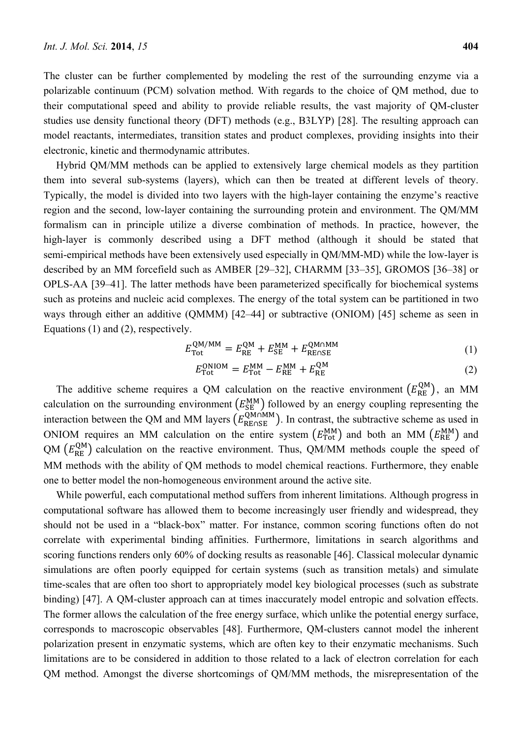The cluster can be further complemented by modeling the rest of the surrounding enzyme via a polarizable continuum (PCM) solvation method. With regards to the choice of QM method, due to their computational speed and ability to provide reliable results, the vast majority of QM-cluster studies use density functional theory (DFT) methods (e.g., B3LYP) [28]. The resulting approach can model reactants, intermediates, transition states and product complexes, providing insights into their electronic, kinetic and thermodynamic attributes.

Hybrid QM/MM methods can be applied to extensively large chemical models as they partition them into several sub-systems (layers), which can then be treated at different levels of theory. Typically, the model is divided into two layers with the high-layer containing the enzyme's reactive region and the second, low-layer containing the surrounding protein and environment. The QM/MM formalism can in principle utilize a diverse combination of methods. In practice, however, the high-layer is commonly described using a DFT method (although it should be stated that semi-empirical methods have been extensively used especially in QM/MM-MD) while the low-layer is described by an MM forcefield such as AMBER [29–32], CHARMM [33–35], GROMOS [36–38] or OPLS-AA [39–41]. The latter methods have been parameterized specifically for biochemical systems such as proteins and nucleic acid complexes. The energy of the total system can be partitioned in two ways through either an additive (QMMM) [42–44] or subtractive (ONIOM) [45] scheme as seen in Equations (1) and (2), respectively.

$$
E_{\rm Tot}^{\rm QM/MM} = E_{\rm RE}^{\rm QM} + E_{\rm SE}^{\rm MM} + E_{\rm RESSE}^{\rm QMNMM} \tag{1}
$$

$$
E_{\rm Tot}^{\rm ONIOM} = E_{\rm Tot}^{\rm MM} - E_{\rm RE}^{\rm MM} + E_{\rm RE}^{\rm QM} \tag{2}
$$

The additive scheme requires a QM calculation on the reactive environment  $(E_{RE}^{QM})$ , an MM calculation on the surrounding environment  $(E_{\text{SE}}^{\text{MM}})$  followed by an energy coupling representing the interaction between the QM and MM layers  $(E_{REASE}^{QM \cap MM})$ . In contrast, the subtractive scheme as used in ONIOM requires an MM calculation on the entire system  $(E_{\text{Tot}}^{MM})$  and both an MM  $(E_{\text{RE}}^{MM})$  and  $QM \left(E_{RE}^{QM}\right)$  calculation on the reactive environment. Thus, QM/MM methods couple the speed of MM methods with the ability of QM methods to model chemical reactions. Furthermore, they enable one to better model the non-homogeneous environment around the active site.

While powerful, each computational method suffers from inherent limitations. Although progress in computational software has allowed them to become increasingly user friendly and widespread, they should not be used in a "black-box" matter. For instance, common scoring functions often do not correlate with experimental binding affinities. Furthermore, limitations in search algorithms and scoring functions renders only 60% of docking results as reasonable [46]. Classical molecular dynamic simulations are often poorly equipped for certain systems (such as transition metals) and simulate time-scales that are often too short to appropriately model key biological processes (such as substrate binding) [47]. A QM-cluster approach can at times inaccurately model entropic and solvation effects. The former allows the calculation of the free energy surface, which unlike the potential energy surface, corresponds to macroscopic observables [48]. Furthermore, QM-clusters cannot model the inherent polarization present in enzymatic systems, which are often key to their enzymatic mechanisms. Such limitations are to be considered in addition to those related to a lack of electron correlation for each QM method. Amongst the diverse shortcomings of QM/MM methods, the misrepresentation of the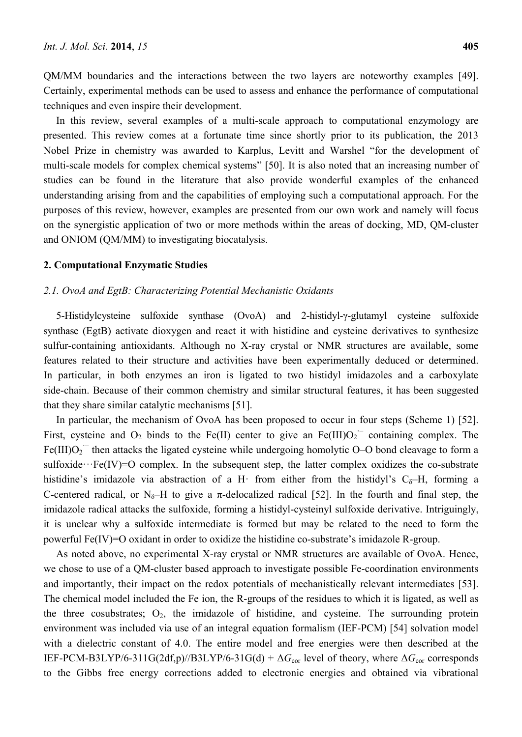QM/MM boundaries and the interactions between the two layers are noteworthy examples [49]. Certainly, experimental methods can be used to assess and enhance the performance of computational techniques and even inspire their development.

In this review, several examples of a multi-scale approach to computational enzymology are presented. This review comes at a fortunate time since shortly prior to its publication, the 2013 Nobel Prize in chemistry was awarded to Karplus, Levitt and Warshel "for the development of multi-scale models for complex chemical systems" [50]. It is also noted that an increasing number of studies can be found in the literature that also provide wonderful examples of the enhanced understanding arising from and the capabilities of employing such a computational approach. For the purposes of this review, however, examples are presented from our own work and namely will focus on the synergistic application of two or more methods within the areas of docking, MD, QM-cluster and ONIOM (QM/MM) to investigating biocatalysis.

#### **2. Computational Enzymatic Studies**

#### *2.1. OvoA and EgtB: Characterizing Potential Mechanistic Oxidants*

5-Histidylcysteine sulfoxide synthase (OvoA) and 2-histidyl-γ-glutamyl cysteine sulfoxide synthase (EgtB) activate dioxygen and react it with histidine and cysteine derivatives to synthesize sulfur-containing antioxidants. Although no X-ray crystal or NMR structures are available, some features related to their structure and activities have been experimentally deduced or determined. In particular, in both enzymes an iron is ligated to two histidyl imidazoles and a carboxylate side-chain. Because of their common chemistry and similar structural features, it has been suggested that they share similar catalytic mechanisms [51].

In particular, the mechanism of OvoA has been proposed to occur in four steps (Scheme 1) [52]. First, cysteine and  $O_2$  binds to the Fe(II) center to give an Fe(III) $O_2$ <sup> $\sim$ </sup> containing complex. The Fe(III)O<sub>2</sub><sup>−</sup> then attacks the ligated cysteine while undergoing homolytic O–O bond cleavage to form a sulfoxide···Fe(IV)=O complex. In the subsequent step, the latter complex oxidizes the co-substrate histidine's imidazole via abstraction of a H· from either from the histidyl's  $C_{\delta}$ -H, forming a C-centered radical, or N<sub>δ</sub>–H to give a  $\pi$ -delocalized radical [52]. In the fourth and final step, the imidazole radical attacks the sulfoxide, forming a histidyl-cysteinyl sulfoxide derivative. Intriguingly, it is unclear why a sulfoxide intermediate is formed but may be related to the need to form the powerful Fe(IV)=O oxidant in order to oxidize the histidine co-substrate's imidazole R-group.

As noted above, no experimental X-ray crystal or NMR structures are available of OvoA. Hence, we chose to use of a QM-cluster based approach to investigate possible Fe-coordination environments and importantly, their impact on the redox potentials of mechanistically relevant intermediates [53]. The chemical model included the Fe ion, the R-groups of the residues to which it is ligated, as well as the three cosubstrates;  $O_2$ , the imidazole of histidine, and cysteine. The surrounding protein environment was included via use of an integral equation formalism (IEF-PCM) [54] solvation model with a dielectric constant of 4.0. The entire model and free energies were then described at the IEF-PCM-B3LYP/6-311G(2df,p)//B3LYP/6-31G(d) +  $\Delta G_{\text{cor}}$  level of theory, where  $\Delta G_{\text{cor}}$  corresponds to the Gibbs free energy corrections added to electronic energies and obtained via vibrational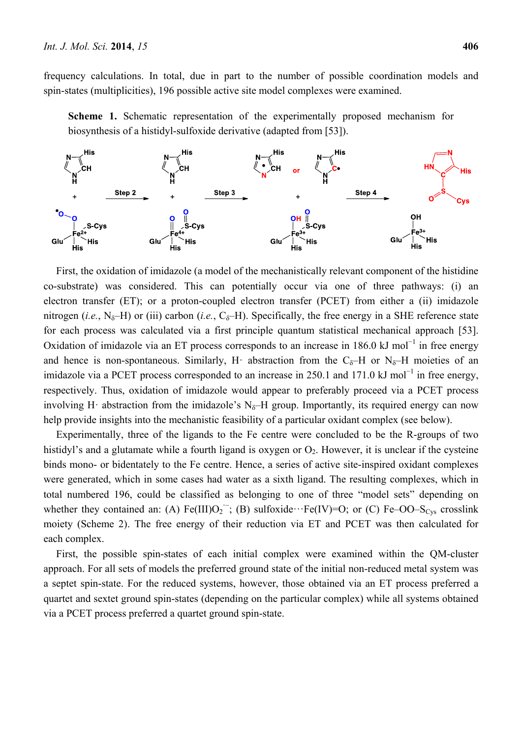frequency calculations. In total, due in part to the number of possible coordination models and spin-states (multiplicities), 196 possible active site model complexes were examined.

**Scheme 1.** Schematic representation of the experimentally proposed mechanism for biosynthesis of a histidyl-sulfoxide derivative (adapted from [53]).



First, the oxidation of imidazole (a model of the mechanistically relevant component of the histidine co-substrate) was considered. This can potentially occur via one of three pathways: (i) an electron transfer (ET); or a proton-coupled electron transfer (PCET) from either a (ii) imidazole nitrogen (*i.e.*, N<sub>δ</sub>–H) or (iii) carbon (*i.e.*, C<sub>δ</sub>–H). Specifically, the free energy in a SHE reference state for each process was calculated via a first principle quantum statistical mechanical approach [53]. Oxidation of imidazole via an ET process corresponds to an increase in 186.0 kJ mol<sup>-1</sup> in free energy and hence is non-spontaneous. Similarly, H· abstraction from the  $C_{\delta}$ -H or N<sub> $\delta$ </sub>-H moieties of an imidazole via a PCET process corresponded to an increase in 250.1 and 171.0 kJ mol<sup>-1</sup> in free energy, respectively. Thus, oxidation of imidazole would appear to preferably proceed via a PCET process involving H· abstraction from the imidazole's  $N_{\delta}$ -H group. Importantly, its required energy can now help provide insights into the mechanistic feasibility of a particular oxidant complex (see below).

Experimentally, three of the ligands to the Fe centre were concluded to be the R-groups of two histidyl's and a glutamate while a fourth ligand is oxygen or  $O_2$ . However, it is unclear if the cysteine binds mono- or bidentately to the Fe centre. Hence, a series of active site-inspired oxidant complexes were generated, which in some cases had water as a sixth ligand. The resulting complexes, which in total numbered 196, could be classified as belonging to one of three "model sets" depending on whether they contained an: (A)  $Fe(III)O_2^-$ ; (B) sulfoxide··· $Fe(IV)=O$ ; or (C)  $Fe-OO-S<sub>Cys</sub>$  crosslink moiety (Scheme 2). The free energy of their reduction via ET and PCET was then calculated for each complex.

First, the possible spin-states of each initial complex were examined within the QM-cluster approach. For all sets of models the preferred ground state of the initial non-reduced metal system was a septet spin-state. For the reduced systems, however, those obtained via an ET process preferred a quartet and sextet ground spin-states (depending on the particular complex) while all systems obtained via a PCET process preferred a quartet ground spin-state.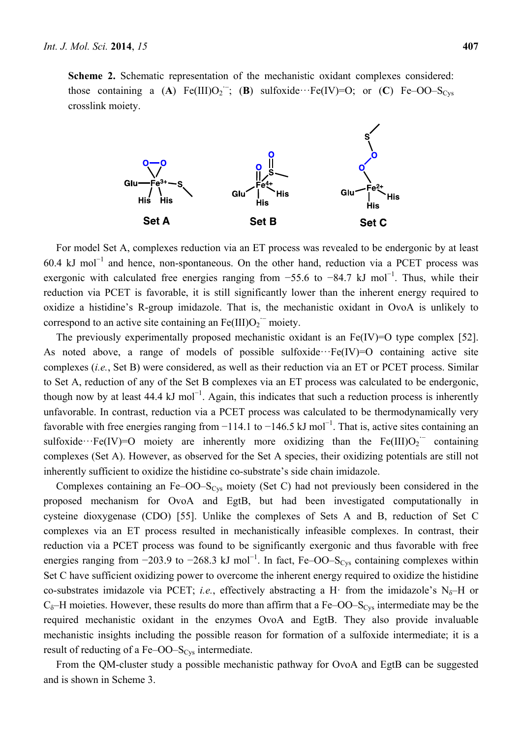**Scheme 2.** Schematic representation of the mechanistic oxidant complexes considered: those containing a  $(A)$  Fe(III)O<sub>2</sub><sup> $\vdots$ </sup>; (**B**) sulfoxide···Fe(IV)=O; or (**C**) Fe–OO–S<sub>Cys</sub> crosslink moiety.



For model Set A, complexes reduction via an ET process was revealed to be endergonic by at least 60.4 kJ mol<sup>-1</sup> and hence, non-spontaneous. On the other hand, reduction via a PCET process was exergonic with calculated free energies ranging from  $-55.6$  to  $-84.7$  kJ mol<sup>-1</sup>. Thus, while their reduction via PCET is favorable, it is still significantly lower than the inherent energy required to oxidize a histidine's R-group imidazole. That is, the mechanistic oxidant in OvoA is unlikely to correspond to an active site containing an  $Fe(III)O<sub>2</sub>^-$  moiety.

The previously experimentally proposed mechanistic oxidant is an Fe(IV)=O type complex [52]. As noted above, a range of models of possible sulfoxide $\cdots$ Fe(IV)=O containing active site complexes (*i.e.*, Set B) were considered, as well as their reduction via an ET or PCET process. Similar to Set A, reduction of any of the Set B complexes via an ET process was calculated to be endergonic, though now by at least 44.4 kJ mol<sup>-1</sup>. Again, this indicates that such a reduction process is inherently unfavorable. In contrast, reduction via a PCET process was calculated to be thermodynamically very favorable with free energies ranging from  $-114.1$  to  $-146.5$  kJ mol<sup>-1</sup>. That is, active sites containing an sulfoxide···Fe(IV)=O moiety are inherently more oxidizing than the Fe(III)O<sub>2</sub><sup> $-$ </sup> containing complexes (Set A). However, as observed for the Set A species, their oxidizing potentials are still not inherently sufficient to oxidize the histidine co-substrate's side chain imidazole.

Complexes containing an Fe–OO–S<sub>Cys</sub> moiety (Set C) had not previously been considered in the proposed mechanism for OvoA and EgtB, but had been investigated computationally in cysteine dioxygenase (CDO) [55]. Unlike the complexes of Sets A and B, reduction of Set C complexes via an ET process resulted in mechanistically infeasible complexes. In contrast, their reduction via a PCET process was found to be significantly exergonic and thus favorable with free energies ranging from  $-203.9$  to  $-268.3$  kJ mol<sup>-1</sup>. In fact, Fe–OO–S<sub>Cys</sub> containing complexes within Set C have sufficient oxidizing power to overcome the inherent energy required to oxidize the histidine co-substrates imidazole via PCET; *i.e.*, effectively abstracting a H· from the imidazole's N<sub> $\delta$ </sub>-H or  $C_{\delta}$ –H moieties. However, these results do more than affirm that a Fe–OO–S<sub>Cys</sub> intermediate may be the required mechanistic oxidant in the enzymes OvoA and EgtB. They also provide invaluable mechanistic insights including the possible reason for formation of a sulfoxide intermediate; it is a result of reducting of a Fe–OO– $S_{\text{Cvs}}$  intermediate.

From the QM-cluster study a possible mechanistic pathway for OvoA and EgtB can be suggested and is shown in Scheme 3.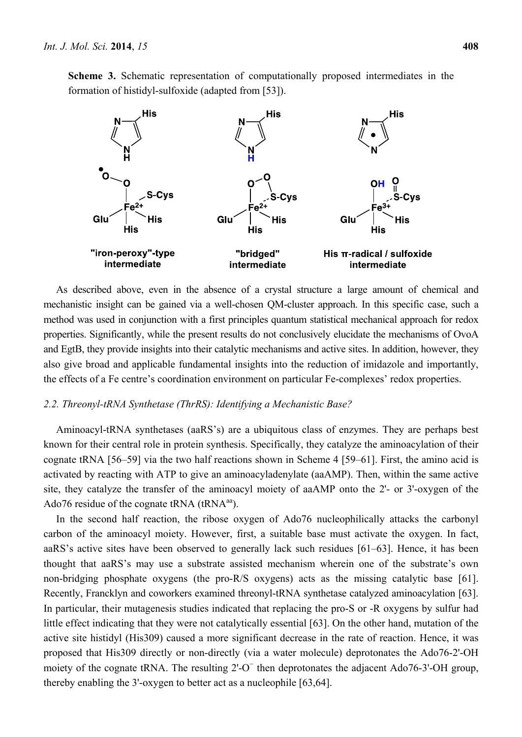**Scheme 3.** Schematic representation of computationally proposed intermediates in the formation of histidyl-sulfoxide (adapted from [53]).



As described above, even in the absence of a crystal structure a large amount of chemical and mechanistic insight can be gained via a well-chosen QM-cluster approach. In this specific case, such a method was used in conjunction with a first principles quantum statistical mechanical approach for redox properties. Significantly, while the present results do not conclusively elucidate the mechanisms of OvoA and EgtB, they provide insights into their catalytic mechanisms and active sites. In addition, however, they also give broad and applicable fundamental insights into the reduction of imidazole and importantly, the effects of a Fe centre's coordination environment on particular Fe-complexes' redox properties.

#### *2.2. Threonyl-tRNA Synthetase (ThrRS): Identifying a Mechanistic Base?*

Aminoacyl-tRNA synthetases (aaRS's) are a ubiquitous class of enzymes. They are perhaps best known for their central role in protein synthesis. Specifically, they catalyze the aminoacylation of their cognate tRNA [56–59] via the two half reactions shown in Scheme 4 [59–61]. First, the amino acid is activated by reacting with ATP to give an aminoacyladenylate (aaAMP). Then, within the same active site, they catalyze the transfer of the aminoacyl moiety of aaAMP onto the 2'- or 3'-oxygen of the Ado76 residue of the cognate tRNA  $(tRNA<sup>aa</sup>)$ .

In the second half reaction, the ribose oxygen of Ado76 nucleophilically attacks the carbonyl carbon of the aminoacyl moiety. However, first, a suitable base must activate the oxygen. In fact, aaRS's active sites have been observed to generally lack such residues [61–63]. Hence, it has been thought that aaRS's may use a substrate assisted mechanism wherein one of the substrate's own non-bridging phosphate oxygens (the pro-R/S oxygens) acts as the missing catalytic base [61]. Recently, Francklyn and coworkers examined threonyl-tRNA synthetase catalyzed aminoacylation [63]. In particular, their mutagenesis studies indicated that replacing the pro-S or -R oxygens by sulfur had little effect indicating that they were not catalytically essential [63]. On the other hand, mutation of the active site histidyl (His309) caused a more significant decrease in the rate of reaction. Hence, it was proposed that His309 directly or non-directly (via a water molecule) deprotonates the Ado76-2'-OH moiety of the cognate tRNA. The resulting 2'-O<sup>−</sup> then deprotonates the adjacent Ado76-3'-OH group, thereby enabling the 3'-oxygen to better act as a nucleophile [63,64].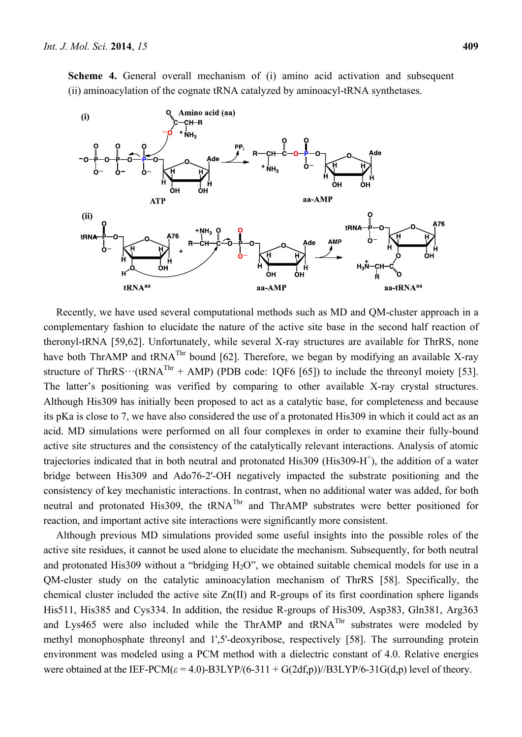**Scheme 4.** General overall mechanism of (i) amino acid activation and subsequent (ii) aminoacylation of the cognate tRNA catalyzed by aminoacyl-tRNA synthetases.



Recently, we have used several computational methods such as MD and QM-cluster approach in a complementary fashion to elucidate the nature of the active site base in the second half reaction of theronyl-tRNA [59,62]. Unfortunately, while several X-ray structures are available for ThrRS, none have both ThrAMP and tRNA<sup>Thr</sup> bound [62]. Therefore, we began by modifying an available X-ray structure of ThrRS $\cdots$ (tRNA<sup>Thr</sup> + AMP) (PDB code: 1QF6 [65]) to include the threonyl moiety [53]. The latter's positioning was verified by comparing to other available X-ray crystal structures. Although His309 has initially been proposed to act as a catalytic base, for completeness and because its pKa is close to 7, we have also considered the use of a protonated His309 in which it could act as an acid. MD simulations were performed on all four complexes in order to examine their fully-bound active site structures and the consistency of the catalytically relevant interactions. Analysis of atomic trajectories indicated that in both neutral and protonated His309 (His309-H<sup>+</sup>), the addition of a water bridge between His309 and Ado76-2'-OH negatively impacted the substrate positioning and the consistency of key mechanistic interactions. In contrast, when no additional water was added, for both neutral and protonated His309, the tRNA<sup>Thr</sup> and ThrAMP substrates were better positioned for reaction, and important active site interactions were significantly more consistent.

Although previous MD simulations provided some useful insights into the possible roles of the active site residues, it cannot be used alone to elucidate the mechanism. Subsequently, for both neutral and protonated His309 without a "bridging  $H_2O$ ", we obtained suitable chemical models for use in a QM-cluster study on the catalytic aminoacylation mechanism of ThrRS [58]. Specifically, the chemical cluster included the active site Zn(II) and R-groups of its first coordination sphere ligands His511, His385 and Cys334. In addition, the residue R-groups of His309, Asp383, Gln381, Arg363 and Lys465 were also included while the ThrAMP and tRNAThr substrates were modeled by methyl monophosphate threonyl and 1',5'-deoxyribose, respectively [58]. The surrounding protein environment was modeled using a PCM method with a dielectric constant of 4.0. Relative energies were obtained at the IEF-PCM( $\varepsilon$  = 4.0)-B3LYP/(6-311 + G(2df,p))//B3LYP/6-31G(d,p) level of theory.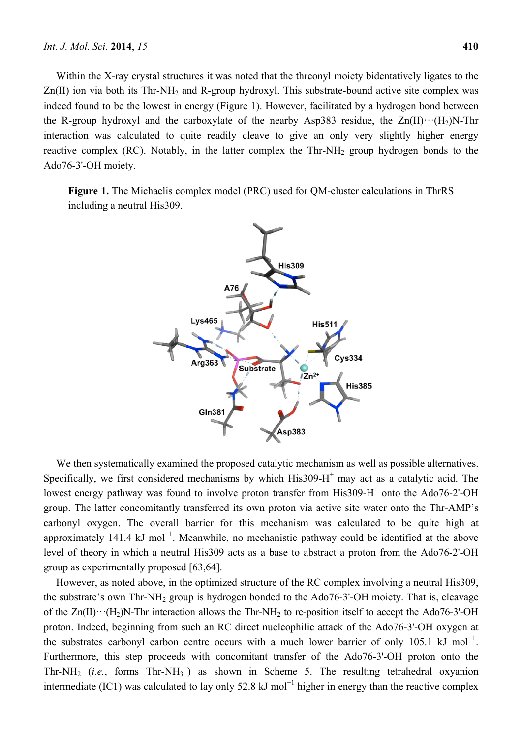Within the X-ray crystal structures it was noted that the threonyl moiety bidentatively ligates to the  $Zn(II)$  ion via both its Thr-NH<sub>2</sub> and R-group hydroxyl. This substrate-bound active site complex was indeed found to be the lowest in energy (Figure 1). However, facilitated by a hydrogen bond between the R-group hydroxyl and the carboxylate of the nearby Asp383 residue, the  $Zn(II)\cdots(H_2)N$ -Thr interaction was calculated to quite readily cleave to give an only very slightly higher energy reactive complex (RC). Notably, in the latter complex the  $Thr-NH<sub>2</sub>$  group hydrogen bonds to the Ado76-3'-OH moiety.

**Figure 1.** The Michaelis complex model (PRC) used for QM-cluster calculations in ThrRS including a neutral His309.



We then systematically examined the proposed catalytic mechanism as well as possible alternatives. Specifically, we first considered mechanisms by which  $His309-H<sup>+</sup>$  may act as a catalytic acid. The lowest energy pathway was found to involve proton transfer from His309-H<sup>+</sup> onto the Ado76-2'-OH group. The latter concomitantly transferred its own proton via active site water onto the Thr-AMP's carbonyl oxygen. The overall barrier for this mechanism was calculated to be quite high at approximately 141.4 kJ mol<sup>-1</sup>. Meanwhile, no mechanistic pathway could be identified at the above level of theory in which a neutral His309 acts as a base to abstract a proton from the Ado76-2'-OH group as experimentally proposed [63,64].

However, as noted above, in the optimized structure of the RC complex involving a neutral His309, the substrate's own Thr-NH2 group is hydrogen bonded to the Ado76-3'-OH moiety. That is, cleavage of the  $Zn(II)\cdots(H_2)N$ -Thr interaction allows the Thr-NH<sub>2</sub> to re-position itself to accept the Ado76-3'-OH proton. Indeed, beginning from such an RC direct nucleophilic attack of the Ado76-3'-OH oxygen at the substrates carbonyl carbon centre occurs with a much lower barrier of only 105.1 kJ mol<sup>-1</sup>. Furthermore, this step proceeds with concomitant transfer of the Ado76-3'-OH proton onto the Thr-NH<sub>2</sub> (*i.e.*, forms  $Thr-NH_3^+$ ) as shown in Scheme 5. The resulting tetrahedral oxyanion intermediate (IC1) was calculated to lay only 52.8 kJ mol<sup>-1</sup> higher in energy than the reactive complex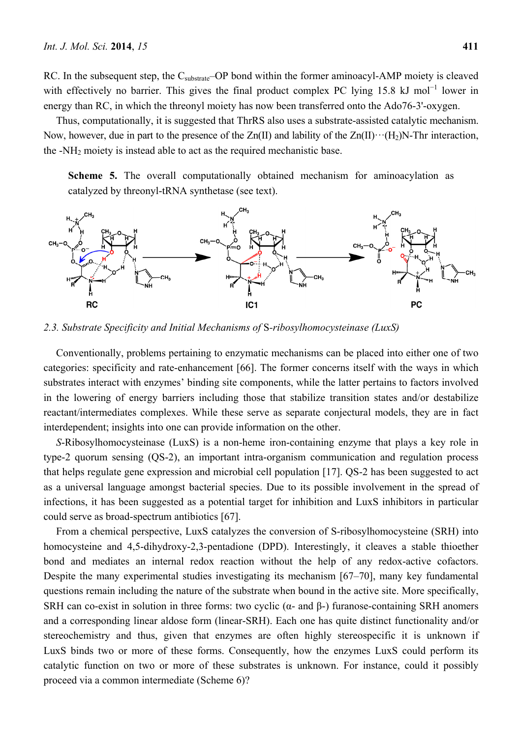RC. In the subsequent step, the C<sub>substrate</sub>–OP bond within the former aminoacyl-AMP moiety is cleaved with effectively no barrier. This gives the final product complex PC lying 15.8 kJ mol<sup>-1</sup> lower in energy than RC, in which the threonyl moiety has now been transferred onto the Ado76-3'-oxygen.

Thus, computationally, it is suggested that ThrRS also uses a substrate-assisted catalytic mechanism. Now, however, due in part to the presence of the  $Zn(II)$  and lability of the  $Zn(II)\cdots(H_2)N$ -Thr interaction, the  $-NH<sub>2</sub>$  moiety is instead able to act as the required mechanistic base.

**Scheme 5.** The overall computationally obtained mechanism for aminoacylation as catalyzed by threonyl-tRNA synthetase (see text).



*2.3. Substrate Specificity and Initial Mechanisms of* S*-ribosylhomocysteinase (LuxS)* 

Conventionally, problems pertaining to enzymatic mechanisms can be placed into either one of two categories: specificity and rate-enhancement [66]. The former concerns itself with the ways in which substrates interact with enzymes' binding site components, while the latter pertains to factors involved in the lowering of energy barriers including those that stabilize transition states and/or destabilize reactant/intermediates complexes. While these serve as separate conjectural models, they are in fact interdependent; insights into one can provide information on the other.

*S*-Ribosylhomocysteinase (LuxS) is a non-heme iron-containing enzyme that plays a key role in type-2 quorum sensing (QS-2), an important intra-organism communication and regulation process that helps regulate gene expression and microbial cell population [17]. QS-2 has been suggested to act as a universal language amongst bacterial species. Due to its possible involvement in the spread of infections, it has been suggested as a potential target for inhibition and LuxS inhibitors in particular could serve as broad-spectrum antibiotics [67].

From a chemical perspective, LuxS catalyzes the conversion of S-ribosylhomocysteine (SRH) into homocysteine and 4,5-dihydroxy-2,3-pentadione (DPD). Interestingly, it cleaves a stable thioether bond and mediates an internal redox reaction without the help of any redox-active cofactors. Despite the many experimental studies investigating its mechanism [67–70], many key fundamental questions remain including the nature of the substrate when bound in the active site. More specifically, SRH can co-exist in solution in three forms: two cyclic ( $\alpha$ - and  $\beta$ -) furanose-containing SRH anomers and a corresponding linear aldose form (linear-SRH). Each one has quite distinct functionality and/or stereochemistry and thus, given that enzymes are often highly stereospecific it is unknown if LuxS binds two or more of these forms. Consequently, how the enzymes LuxS could perform its catalytic function on two or more of these substrates is unknown. For instance, could it possibly proceed via a common intermediate (Scheme 6)?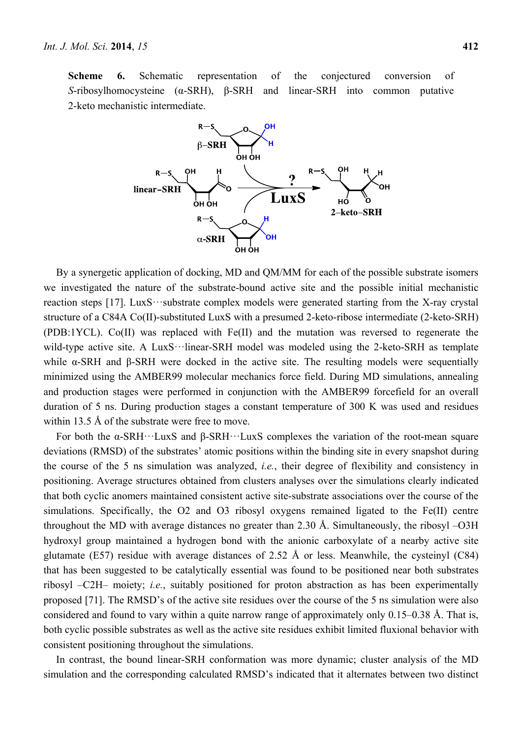**Scheme 6.** Schematic representation of the conjectured conversion of *S*-ribosylhomocysteine (α-SRH), β-SRH and linear-SRH into common putative 2-keto mechanistic intermediate.



By a synergetic application of docking, MD and QM/MM for each of the possible substrate isomers we investigated the nature of the substrate-bound active site and the possible initial mechanistic reaction steps [17]. LuxS···substrate complex models were generated starting from the X-ray crystal structure of a C84A Co(II)-substituted LuxS with a presumed 2-keto-ribose intermediate (2-keto-SRH) (PDB:1YCL). Co(II) was replaced with Fe(II) and the mutation was reversed to regenerate the wild-type active site. A LuxS…linear-SRH model was modeled using the 2-keto-SRH as template while α-SRH and β-SRH were docked in the active site. The resulting models were sequentially minimized using the AMBER99 molecular mechanics force field. During MD simulations, annealing and production stages were performed in conjunction with the AMBER99 forcefield for an overall duration of 5 ns. During production stages a constant temperature of 300 K was used and residues within 13.5 Å of the substrate were free to move.

For both the α-SRH···LuxS and β-SRH···LuxS complexes the variation of the root-mean square deviations (RMSD) of the substrates' atomic positions within the binding site in every snapshot during the course of the 5 ns simulation was analyzed, *i.e.*, their degree of flexibility and consistency in positioning. Average structures obtained from clusters analyses over the simulations clearly indicated that both cyclic anomers maintained consistent active site-substrate associations over the course of the simulations. Specifically, the O2 and O3 ribosyl oxygens remained ligated to the Fe(II) centre throughout the MD with average distances no greater than 2.30 Å. Simultaneously, the ribosyl –O3H hydroxyl group maintained a hydrogen bond with the anionic carboxylate of a nearby active site glutamate (E57) residue with average distances of 2.52 Å or less. Meanwhile, the cysteinyl  $(C84)$ that has been suggested to be catalytically essential was found to be positioned near both substrates ribosyl –C2H– moiety; *i.e.*, suitably positioned for proton abstraction as has been experimentally proposed [71]. The RMSD's of the active site residues over the course of the 5 ns simulation were also considered and found to vary within a quite narrow range of approximately only 0.15–0.38 Å. That is, both cyclic possible substrates as well as the active site residues exhibit limited fluxional behavior with consistent positioning throughout the simulations.

In contrast, the bound linear-SRH conformation was more dynamic; cluster analysis of the MD simulation and the corresponding calculated RMSD's indicated that it alternates between two distinct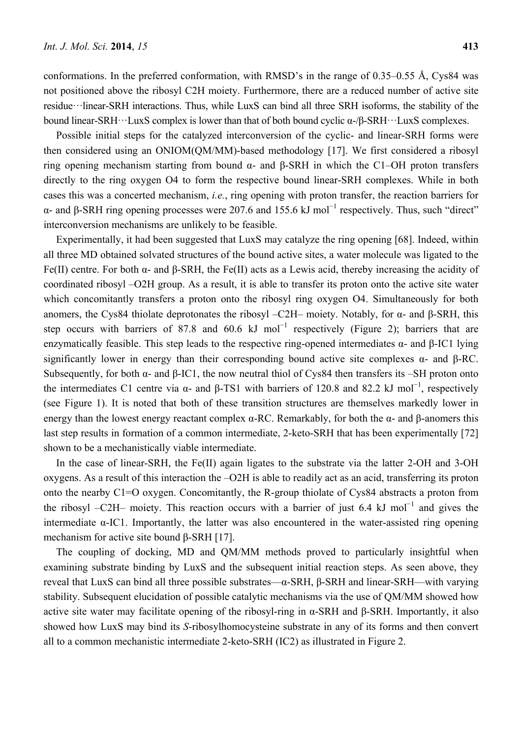conformations. In the preferred conformation, with RMSD's in the range of 0.35–0.55 Å, Cys84 was not positioned above the ribosyl C2H moiety. Furthermore, there are a reduced number of active site residue···linear-SRH interactions. Thus, while LuxS can bind all three SRH isoforms, the stability of the bound linear-SRH···LuxS complex is lower than that of both bound cyclic α-/β-SRH···LuxS complexes.

Possible initial steps for the catalyzed interconversion of the cyclic- and linear-SRH forms were then considered using an ONIOM(QM/MM)-based methodology [17]. We first considered a ribosyl ring opening mechanism starting from bound α- and β-SRH in which the C1–OH proton transfers directly to the ring oxygen O4 to form the respective bound linear-SRH complexes. While in both cases this was a concerted mechanism, *i.e.*, ring opening with proton transfer, the reaction barriers for α- and β-SRH ring opening processes were 207.6 and 155.6 kJ mol<sup>-1</sup> respectively. Thus, such "direct" interconversion mechanisms are unlikely to be feasible.

Experimentally, it had been suggested that LuxS may catalyze the ring opening [68]. Indeed, within all three MD obtained solvated structures of the bound active sites, a water molecule was ligated to the Fe(II) centre. For both α- and β-SRH, the Fe(II) acts as a Lewis acid, thereby increasing the acidity of coordinated ribosyl –O2H group. As a result, it is able to transfer its proton onto the active site water which concomitantly transfers a proton onto the ribosyl ring oxygen O4. Simultaneously for both anomers, the Cys84 thiolate deprotonates the ribosyl –C2H– moiety. Notably, for α- and β-SRH, this step occurs with barriers of 87.8 and 60.6 kJ mol<sup>-1</sup> respectively (Figure 2); barriers that are enzymatically feasible. This step leads to the respective ring-opened intermediates α- and β-IC1 lying significantly lower in energy than their corresponding bound active site complexes  $\alpha$ - and  $\beta$ -RC. Subsequently, for both  $\alpha$ - and  $\beta$ -IC1, the now neutral thiol of Cys84 then transfers its –SH proton onto the intermediates C1 centre via  $\alpha$ - and β-TS1 with barriers of 120.8 and 82.2 kJ mol<sup>-1</sup>, respectively (see Figure 1). It is noted that both of these transition structures are themselves markedly lower in energy than the lowest energy reactant complex  $\alpha$ -RC. Remarkably, for both the  $\alpha$ - and β-anomers this last step results in formation of a common intermediate, 2-keto-SRH that has been experimentally [72] shown to be a mechanistically viable intermediate.

In the case of linear-SRH, the Fe(II) again ligates to the substrate via the latter 2-OH and 3-OH oxygens. As a result of this interaction the –O2H is able to readily act as an acid, transferring its proton onto the nearby C1=O oxygen. Concomitantly, the R-group thiolate of Cys84 abstracts a proton from the ribosyl –C2H– moiety. This reaction occurs with a barrier of just 6.4 kJ mol<sup>-1</sup> and gives the intermediate  $\alpha$ -IC1. Importantly, the latter was also encountered in the water-assisted ring opening mechanism for active site bound β-SRH [17].

The coupling of docking, MD and QM/MM methods proved to particularly insightful when examining substrate binding by LuxS and the subsequent initial reaction steps. As seen above, they reveal that LuxS can bind all three possible substrates—α-SRH, β-SRH and linear-SRH—with varying stability. Subsequent elucidation of possible catalytic mechanisms via the use of QM/MM showed how active site water may facilitate opening of the ribosyl-ring in α-SRH and β-SRH. Importantly, it also showed how LuxS may bind its *S*-ribosylhomocysteine substrate in any of its forms and then convert all to a common mechanistic intermediate 2-keto-SRH (IC2) as illustrated in Figure 2.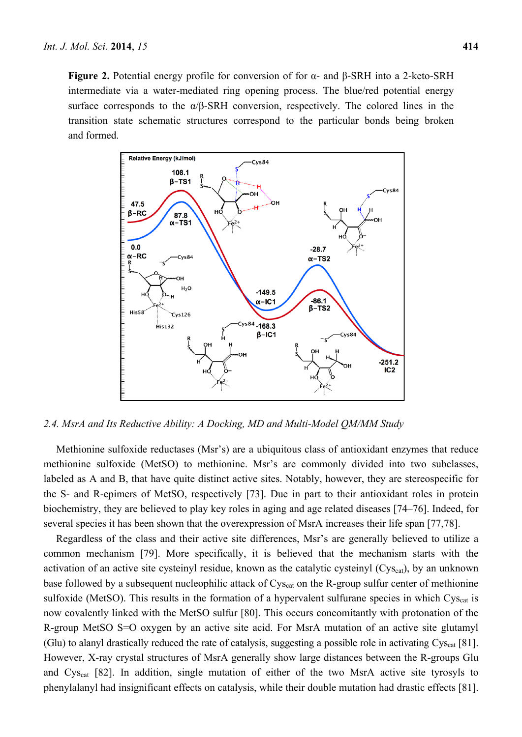**Figure 2.** Potential energy profile for conversion of for α- and β-SRH into a 2-keto-SRH intermediate via a water-mediated ring opening process. The blue/red potential energy surface corresponds to the  $\alpha/\beta$ -SRH conversion, respectively. The colored lines in the transition state schematic structures correspond to the particular bonds being broken and formed.



*2.4. MsrA and Its Reductive Ability: A Docking, MD and Multi-Model QM/MM Study* 

Methionine sulfoxide reductases (Msr's) are a ubiquitous class of antioxidant enzymes that reduce methionine sulfoxide (MetSO) to methionine. Msr's are commonly divided into two subclasses, labeled as A and B, that have quite distinct active sites. Notably, however, they are stereospecific for the S- and R-epimers of MetSO, respectively [73]. Due in part to their antioxidant roles in protein biochemistry, they are believed to play key roles in aging and age related diseases [74–76]. Indeed, for several species it has been shown that the overexpression of MsrA increases their life span [77,78].

Regardless of the class and their active site differences, Msr's are generally believed to utilize a common mechanism [79]. More specifically, it is believed that the mechanism starts with the activation of an active site cysteinyl residue, known as the catalytic cysteinyl  $(Cys<sub>cat</sub>)$ , by an unknown base followed by a subsequent nucleophilic attack of Cys<sub>cat</sub> on the R-group sulfur center of methionine sulfoxide (MetSO). This results in the formation of a hypervalent sulfurane species in which Cys<sub>cat</sub> is now covalently linked with the MetSO sulfur [80]. This occurs concomitantly with protonation of the R-group MetSO S=O oxygen by an active site acid. For MsrA mutation of an active site glutamyl (Glu) to alanyl drastically reduced the rate of catalysis, suggesting a possible role in activating  $Cys_{cat}$  [81]. However, X-ray crystal structures of MsrA generally show large distances between the R-groups Glu and Cys<sub>cat</sub> [82]. In addition, single mutation of either of the two MsrA active site tyrosyls to phenylalanyl had insignificant effects on catalysis, while their double mutation had drastic effects [81].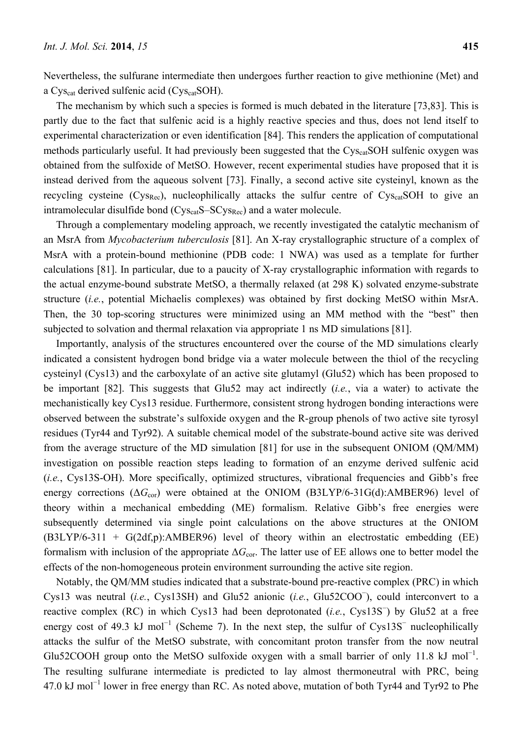Nevertheless, the sulfurane intermediate then undergoes further reaction to give methionine (Met) and a Cys<sub>cat</sub> derived sulfenic acid (Cys<sub>cat</sub>SOH).

The mechanism by which such a species is formed is much debated in the literature [73,83]. This is partly due to the fact that sulfenic acid is a highly reactive species and thus, does not lend itself to experimental characterization or even identification [84]. This renders the application of computational methods particularly useful. It had previously been suggested that the Cys<sub>cat</sub>SOH sulfenic oxygen was obtained from the sulfoxide of MetSO. However, recent experimental studies have proposed that it is instead derived from the aqueous solvent [73]. Finally, a second active site cysteinyl, known as the recycling cysteine  $(Cys_{Rec})$ , nucleophilically attacks the sulfur centre of  $Cys_{cat}SOH$  to give an intramolecular disulfide bond  $(Cys_{cat}S-SCys_{Rec})$  and a water molecule.

Through a complementary modeling approach, we recently investigated the catalytic mechanism of an MsrA from *Mycobacterium tuberculosis* [81]. An X-ray crystallographic structure of a complex of MsrA with a protein-bound methionine (PDB code: 1 NWA) was used as a template for further calculations [81]. In particular, due to a paucity of X-ray crystallographic information with regards to the actual enzyme-bound substrate MetSO, a thermally relaxed (at 298 K) solvated enzyme-substrate structure (*i.e.*, potential Michaelis complexes) was obtained by first docking MetSO within MsrA. Then, the 30 top-scoring structures were minimized using an MM method with the "best" then subjected to solvation and thermal relaxation via appropriate 1 ns MD simulations [81].

Importantly, analysis of the structures encountered over the course of the MD simulations clearly indicated a consistent hydrogen bond bridge via a water molecule between the thiol of the recycling cysteinyl (Cys13) and the carboxylate of an active site glutamyl (Glu52) which has been proposed to be important [82]. This suggests that Glu52 may act indirectly (*i.e.*, via a water) to activate the mechanistically key Cys13 residue. Furthermore, consistent strong hydrogen bonding interactions were observed between the substrate's sulfoxide oxygen and the R-group phenols of two active site tyrosyl residues (Tyr44 and Tyr92). A suitable chemical model of the substrate-bound active site was derived from the average structure of the MD simulation [81] for use in the subsequent ONIOM (QM/MM) investigation on possible reaction steps leading to formation of an enzyme derived sulfenic acid (*i.e.*, Cys13S-OH). More specifically, optimized structures, vibrational frequencies and Gibb's free energy corrections  $(\Delta G_{\text{cor}})$  were obtained at the ONIOM (B3LYP/6-31G(d):AMBER96) level of theory within a mechanical embedding (ME) formalism. Relative Gibb's free energies were subsequently determined via single point calculations on the above structures at the ONIOM  $(B3LYP/6-311 + G(2df,p):AMBER96)$  level of theory within an electrostatic embedding (EE) formalism with inclusion of the appropriate Δ*G*cor. The latter use of EE allows one to better model the effects of the non-homogeneous protein environment surrounding the active site region.

Notably, the QM/MM studies indicated that a substrate-bound pre-reactive complex (PRC) in which Cys13 was neutral (*i.e.*, Cys13SH) and Glu52 anionic (*i.e.*, Glu52COO<sup>−</sup> ), could interconvert to a reactive complex (RC) in which Cys13 had been deprotonated (*i.e.*, Cys13S<sup>−</sup> ) by Glu52 at a free energy cost of 49.3 kJ mol<sup>-1</sup> (Scheme 7). In the next step, the sulfur of Cys13S<sup>-</sup> nucleophilically attacks the sulfur of the MetSO substrate, with concomitant proton transfer from the now neutral Glu52COOH group onto the MetSO sulfoxide oxygen with a small barrier of only 11.8 kJ mol<sup>-1</sup>. The resulting sulfurane intermediate is predicted to lay almost thermoneutral with PRC, being 47.0 kJ mol<sup>-1</sup> lower in free energy than RC. As noted above, mutation of both Tyr44 and Tyr92 to Phe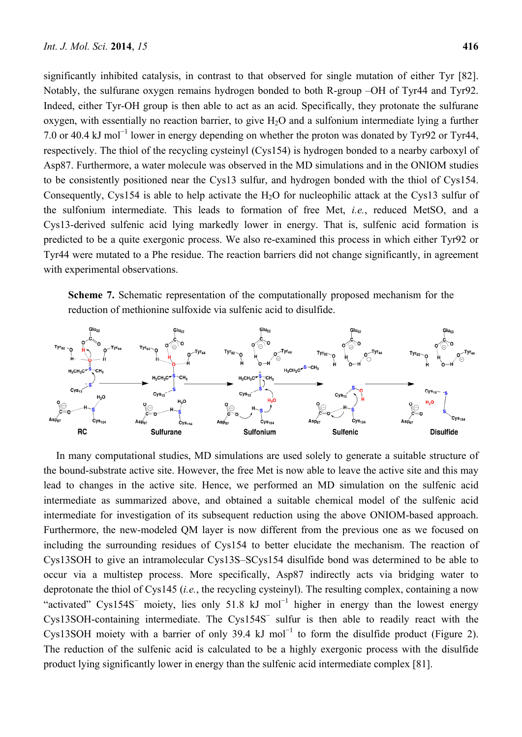significantly inhibited catalysis, in contrast to that observed for single mutation of either Tyr [82]. Notably, the sulfurane oxygen remains hydrogen bonded to both R-group –OH of Tyr44 and Tyr92. Indeed, either Tyr-OH group is then able to act as an acid. Specifically, they protonate the sulfurane oxygen, with essentially no reaction barrier, to give  $H_2O$  and a sulfonium intermediate lying a further 7.0 or 40.4 kJ mol<sup>-1</sup> lower in energy depending on whether the proton was donated by Tyr92 or Tyr44, respectively. The thiol of the recycling cysteinyl (Cys154) is hydrogen bonded to a nearby carboxyl of Asp87. Furthermore, a water molecule was observed in the MD simulations and in the ONIOM studies to be consistently positioned near the Cys13 sulfur, and hydrogen bonded with the thiol of Cys154. Consequently, Cys154 is able to help activate the H<sub>2</sub>O for nucleophilic attack at the Cys13 sulfur of the sulfonium intermediate. This leads to formation of free Met, *i.e.*, reduced MetSO, and a Cys13-derived sulfenic acid lying markedly lower in energy. That is, sulfenic acid formation is predicted to be a quite exergonic process. We also re-examined this process in which either Tyr92 or Tyr44 were mutated to a Phe residue. The reaction barriers did not change significantly, in agreement with experimental observations.

**Scheme 7.** Schematic representation of the computationally proposed mechanism for the reduction of methionine sulfoxide via sulfenic acid to disulfide.



In many computational studies, MD simulations are used solely to generate a suitable structure of the bound-substrate active site. However, the free Met is now able to leave the active site and this may lead to changes in the active site. Hence, we performed an MD simulation on the sulfenic acid intermediate as summarized above, and obtained a suitable chemical model of the sulfenic acid intermediate for investigation of its subsequent reduction using the above ONIOM-based approach. Furthermore, the new-modeled QM layer is now different from the previous one as we focused on including the surrounding residues of Cys154 to better elucidate the mechanism. The reaction of Cys13SOH to give an intramolecular Cys13S–SCys154 disulfide bond was determined to be able to occur via a multistep process. More specifically, Asp87 indirectly acts via bridging water to deprotonate the thiol of Cys145 (*i.e.*, the recycling cysteinyl). The resulting complex, containing a now "activated" Cys154S<sup>-</sup> moiety, lies only 51.8 kJ mol<sup>-1</sup> higher in energy than the lowest energy Cys13SOH-containing intermediate. The Cys154S<sup>−</sup> sulfur is then able to readily react with the Cys13SOH moiety with a barrier of only 39.4 kJ mol<sup>-1</sup> to form the disulfide product (Figure 2). The reduction of the sulfenic acid is calculated to be a highly exergonic process with the disulfide product lying significantly lower in energy than the sulfenic acid intermediate complex [81].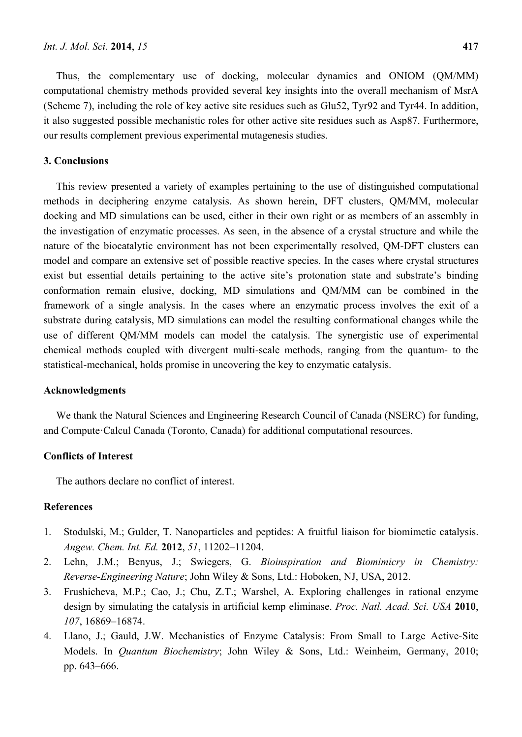Thus, the complementary use of docking, molecular dynamics and ONIOM (QM/MM) computational chemistry methods provided several key insights into the overall mechanism of MsrA (Scheme 7), including the role of key active site residues such as Glu52, Tyr92 and Tyr44. In addition, it also suggested possible mechanistic roles for other active site residues such as Asp87. Furthermore, our results complement previous experimental mutagenesis studies.

#### **3. Conclusions**

This review presented a variety of examples pertaining to the use of distinguished computational methods in deciphering enzyme catalysis. As shown herein, DFT clusters, QM/MM, molecular docking and MD simulations can be used, either in their own right or as members of an assembly in the investigation of enzymatic processes. As seen, in the absence of a crystal structure and while the nature of the biocatalytic environment has not been experimentally resolved, QM-DFT clusters can model and compare an extensive set of possible reactive species. In the cases where crystal structures exist but essential details pertaining to the active site's protonation state and substrate's binding conformation remain elusive, docking, MD simulations and QM/MM can be combined in the framework of a single analysis. In the cases where an enzymatic process involves the exit of a substrate during catalysis, MD simulations can model the resulting conformational changes while the use of different QM/MM models can model the catalysis. The synergistic use of experimental chemical methods coupled with divergent multi-scale methods, ranging from the quantum- to the statistical-mechanical, holds promise in uncovering the key to enzymatic catalysis.

#### **Acknowledgments**

We thank the Natural Sciences and Engineering Research Council of Canada (NSERC) for funding, and Compute·Calcul Canada (Toronto, Canada) for additional computational resources.

#### **Conflicts of Interest**

The authors declare no conflict of interest.

#### **References**

- 1. Stodulski, M.; Gulder, T. Nanoparticles and peptides: A fruitful liaison for biomimetic catalysis. *Angew. Chem. Int. Ed.* **2012**, *51*, 11202–11204.
- 2. Lehn, J.M.; Benyus, J.; Swiegers, G. *Bioinspiration and Biomimicry in Chemistry: Reverse-Engineering Nature*; John Wiley & Sons, Ltd.: Hoboken, NJ, USA, 2012.
- 3. Frushicheva, M.P.; Cao, J.; Chu, Z.T.; Warshel, A. Exploring challenges in rational enzyme design by simulating the catalysis in artificial kemp eliminase. *Proc. Natl. Acad. Sci. USA* **2010**, *107*, 16869–16874.
- 4. Llano, J.; Gauld, J.W. Mechanistics of Enzyme Catalysis: From Small to Large Active-Site Models. In *Quantum Biochemistry*; John Wiley & Sons, Ltd.: Weinheim, Germany, 2010; pp. 643–666.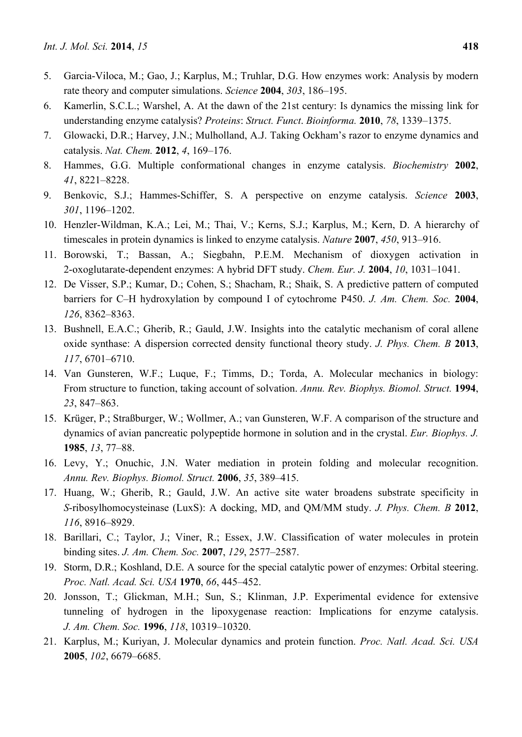- 5. Garcia-Viloca, M.; Gao, J.; Karplus, M.; Truhlar, D.G. How enzymes work: Analysis by modern rate theory and computer simulations. *Science* **2004**, *303*, 186–195.
- 6. Kamerlin, S.C.L.; Warshel, A. At the dawn of the 21st century: Is dynamics the missing link for understanding enzyme catalysis? *Proteins*: *Struct. Funct*. *Bioinforma.* **2010**, *78*, 1339–1375.
- 7. Glowacki, D.R.; Harvey, J.N.; Mulholland, A.J. Taking Ockham's razor to enzyme dynamics and catalysis. *Nat. Chem.* **2012**, *4*, 169–176.
- 8. Hammes, G.G. Multiple conformational changes in enzyme catalysis. *Biochemistry* **2002**, *41*, 8221–8228.
- 9. Benkovic, S.J.; Hammes-Schiffer, S. A perspective on enzyme catalysis. *Science* **2003**, *301*, 1196–1202.
- 10. Henzler-Wildman, K.A.; Lei, M.; Thai, V.; Kerns, S.J.; Karplus, M.; Kern, D. A hierarchy of timescales in protein dynamics is linked to enzyme catalysis. *Nature* **2007**, *450*, 913–916.
- 11. Borowski, T.; Bassan, A.; Siegbahn, P.E.M. Mechanism of dioxygen activation in 2-oxoglutarate-dependent enzymes: A hybrid DFT study. *Chem. Eur. J.* **2004**, *10*, 1031–1041.
- 12. De Visser, S.P.; Kumar, D.; Cohen, S.; Shacham, R.; Shaik, S. A predictive pattern of computed barriers for C–H hydroxylation by compound I of cytochrome P450. *J. Am. Chem. Soc.* **2004**, *126*, 8362–8363.
- 13. Bushnell, E.A.C.; Gherib, R.; Gauld, J.W. Insights into the catalytic mechanism of coral allene oxide synthase: A dispersion corrected density functional theory study. *J. Phys. Chem. B* **2013**, *117*, 6701–6710.
- 14. Van Gunsteren, W.F.; Luque, F.; Timms, D.; Torda, A. Molecular mechanics in biology: From structure to function, taking account of solvation. *Annu. Rev. Biophys. Biomol. Struct.* **1994**, *23*, 847–863.
- 15. Krüger, P.; Straßburger, W.; Wollmer, A.; van Gunsteren, W.F. A comparison of the structure and dynamics of avian pancreatic polypeptide hormone in solution and in the crystal. *Eur. Biophys. J.* **1985**, *13*, 77–88.
- 16. Levy, Y.; Onuchic, J.N. Water mediation in protein folding and molecular recognition. *Annu. Rev. Biophys. Biomol. Struct.* **2006**, *35*, 389–415.
- 17. Huang, W.; Gherib, R.; Gauld, J.W. An active site water broadens substrate specificity in *S*-ribosylhomocysteinase (LuxS): A docking, MD, and QM/MM study. *J. Phys. Chem. B* **2012**, *116*, 8916–8929.
- 18. Barillari, C.; Taylor, J.; Viner, R.; Essex, J.W. Classification of water molecules in protein binding sites. *J. Am. Chem. Soc.* **2007**, *129*, 2577–2587.
- 19. Storm, D.R.; Koshland, D.E. A source for the special catalytic power of enzymes: Orbital steering. *Proc. Natl. Acad. Sci. USA* **1970**, *66*, 445–452.
- 20. Jonsson, T.; Glickman, M.H.; Sun, S.; Klinman, J.P. Experimental evidence for extensive tunneling of hydrogen in the lipoxygenase reaction: Implications for enzyme catalysis. *J. Am. Chem. Soc.* **1996**, *118*, 10319–10320.
- 21. Karplus, M.; Kuriyan, J. Molecular dynamics and protein function. *Proc. Natl. Acad. Sci. USA* **2005**, *102*, 6679–6685.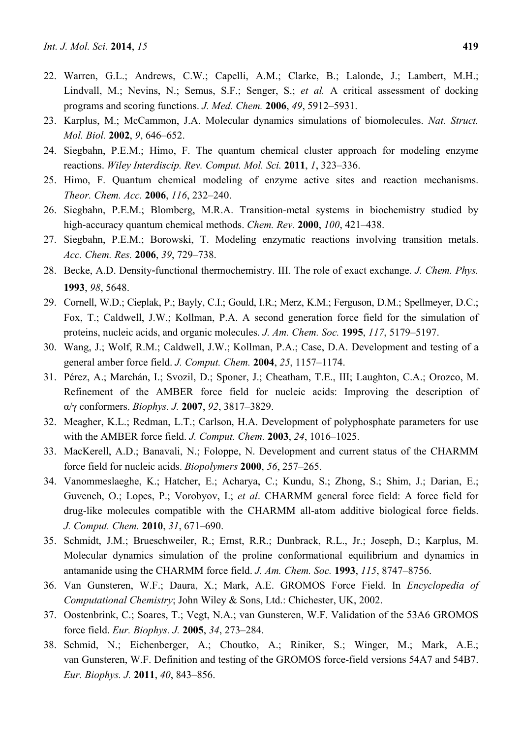- 22. Warren, G.L.; Andrews, C.W.; Capelli, A.M.; Clarke, B.; Lalonde, J.; Lambert, M.H.; Lindvall, M.; Nevins, N.; Semus, S.F.; Senger, S.; *et al.* A critical assessment of docking programs and scoring functions. *J. Med. Chem.* **2006**, *49*, 5912–5931.
- 23. Karplus, M.; McCammon, J.A. Molecular dynamics simulations of biomolecules. *Nat. Struct. Mol. Biol.* **2002**, *9*, 646–652.
- 24. Siegbahn, P.E.M.; Himo, F. The quantum chemical cluster approach for modeling enzyme reactions. *Wiley Interdiscip. Rev. Comput. Mol. Sci.* **2011**, *1*, 323–336.
- 25. Himo, F. Quantum chemical modeling of enzyme active sites and reaction mechanisms. *Theor. Chem. Acc.* **2006**, *116*, 232–240.
- 26. Siegbahn, P.E.M.; Blomberg, M.R.A. Transition-metal systems in biochemistry studied by high-accuracy quantum chemical methods. *Chem. Rev.* **2000**, *100*, 421–438.
- 27. Siegbahn, P.E.M.; Borowski, T. Modeling enzymatic reactions involving transition metals. *Acc. Chem. Res.* **2006**, *39*, 729–738.
- 28. Becke, A.D. Density‐functional thermochemistry. III. The role of exact exchange. *J. Chem. Phys.* **1993**, *98*, 5648.
- 29. Cornell, W.D.; Cieplak, P.; Bayly, C.I.; Gould, I.R.; Merz, K.M.; Ferguson, D.M.; Spellmeyer, D.C.; Fox, T.; Caldwell, J.W.; Kollman, P.A. A second generation force field for the simulation of proteins, nucleic acids, and organic molecules. *J. Am. Chem. Soc.* **1995**, *117*, 5179–5197.
- 30. Wang, J.; Wolf, R.M.; Caldwell, J.W.; Kollman, P.A.; Case, D.A. Development and testing of a general amber force field. *J. Comput. Chem.* **2004**, *25*, 1157–1174.
- 31. Pérez, A.; Marchán, I.; Svozil, D.; Sponer, J.; Cheatham, T.E., III; Laughton, C.A.; Orozco, M. Refinement of the AMBER force field for nucleic acids: Improving the description of α/γ conformers. *Biophys. J.* **2007**, *92*, 3817–3829.
- 32. Meagher, K.L.; Redman, L.T.; Carlson, H.A. Development of polyphosphate parameters for use with the AMBER force field. *J. Comput. Chem.* **2003**, *24*, 1016–1025.
- 33. MacKerell, A.D.; Banavali, N.; Foloppe, N. Development and current status of the CHARMM force field for nucleic acids. *Biopolymers* **2000**, *56*, 257–265.
- 34. Vanommeslaeghe, K.; Hatcher, E.; Acharya, C.; Kundu, S.; Zhong, S.; Shim, J.; Darian, E.; Guvench, O.; Lopes, P.; Vorobyov, I.; *et al*. CHARMM general force field: A force field for drug-like molecules compatible with the CHARMM all-atom additive biological force fields. *J. Comput. Chem.* **2010**, *31*, 671–690.
- 35. Schmidt, J.M.; Brueschweiler, R.; Ernst, R.R.; Dunbrack, R.L., Jr.; Joseph, D.; Karplus, M. Molecular dynamics simulation of the proline conformational equilibrium and dynamics in antamanide using the CHARMM force field. *J. Am. Chem. Soc.* **1993**, *115*, 8747–8756.
- 36. Van Gunsteren, W.F.; Daura, X.; Mark, A.E. GROMOS Force Field. In *Encyclopedia of Computational Chemistry*; John Wiley & Sons, Ltd.: Chichester, UK, 2002.
- 37. Oostenbrink, C.; Soares, T.; Vegt, N.A.; van Gunsteren, W.F. Validation of the 53A6 GROMOS force field. *Eur. Biophys. J.* **2005**, *34*, 273–284.
- 38. Schmid, N.; Eichenberger, A.; Choutko, A.; Riniker, S.; Winger, M.; Mark, A.E.; van Gunsteren, W.F. Definition and testing of the GROMOS force-field versions 54A7 and 54B7. *Eur. Biophys. J.* **2011**, *40*, 843–856.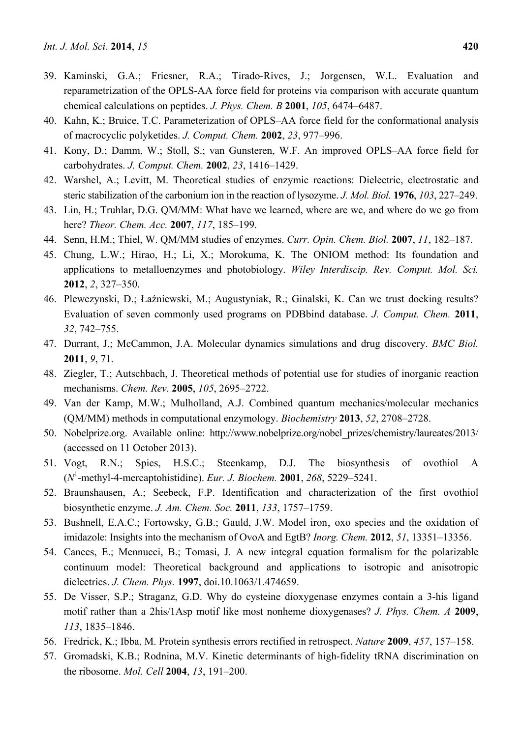- 39. Kaminski, G.A.; Friesner, R.A.; Tirado-Rives, J.; Jorgensen, W.L. Evaluation and reparametrization of the OPLS-AA force field for proteins via comparison with accurate quantum chemical calculations on peptides. *J. Phys. Chem. B* **2001**, *105*, 6474–6487.
- 40. Kahn, K.; Bruice, T.C. Parameterization of OPLS–AA force field for the conformational analysis of macrocyclic polyketides. *J. Comput. Chem.* **2002**, *23*, 977–996.
- 41. Kony, D.; Damm, W.; Stoll, S.; van Gunsteren, W.F. An improved OPLS–AA force field for carbohydrates. *J. Comput. Chem.* **2002**, *23*, 1416–1429.
- 42. Warshel, A.; Levitt, M. Theoretical studies of enzymic reactions: Dielectric, electrostatic and steric stabilization of the carbonium ion in the reaction of lysozyme. *J. Mol. Biol.* **1976**, *103*, 227–249.
- 43. Lin, H.; Truhlar, D.G. QM/MM: What have we learned, where are we, and where do we go from here? *Theor. Chem. Acc.* **2007**, *117*, 185–199.
- 44. Senn, H.M.; Thiel, W. QM/MM studies of enzymes. *Curr. Opin. Chem. Biol.* **2007**, *11*, 182–187.
- 45. Chung, L.W.; Hirao, H.; Li, X.; Morokuma, K. The ONIOM method: Its foundation and applications to metalloenzymes and photobiology. *Wiley Interdiscip. Rev. Comput. Mol. Sci.* **2012**, *2*, 327–350.
- 46. Plewczynski, D.; Łaźniewski, M.; Augustyniak, R.; Ginalski, K. Can we trust docking results? Evaluation of seven commonly used programs on PDBbind database. *J. Comput. Chem.* **2011**, *32*, 742–755.
- 47. Durrant, J.; McCammon, J.A. Molecular dynamics simulations and drug discovery. *BMC Biol.* **2011**, *9*, 71.
- 48. Ziegler, T.; Autschbach, J. Theoretical methods of potential use for studies of inorganic reaction mechanisms. *Chem. Rev.* **2005**, *105*, 2695–2722.
- 49. Van der Kamp, M.W.; Mulholland, A.J. Combined quantum mechanics/molecular mechanics (QM/MM) methods in computational enzymology. *Biochemistry* **2013**, *52*, 2708–2728.
- 50. Nobelprize.org. Available online: http://www.nobelprize.org/nobel\_prizes/chemistry/laureates/2013/ (accessed on 11 October 2013).
- 51. Vogt, R.N.; Spies, H.S.C.; Steenkamp, D.J. The biosynthesis of ovothiol A (*N*<sup>1</sup> -methyl-4-mercaptohistidine). *Eur. J. Biochem.* **2001**, *268*, 5229–5241.
- 52. Braunshausen, A.; Seebeck, F.P. Identification and characterization of the first ovothiol biosynthetic enzyme. *J. Am. Chem. Soc.* **2011**, *133*, 1757–1759.
- 53. Bushnell, E.A.C.; Fortowsky, G.B.; Gauld, J.W. Model iron' oxo species and the oxidation of imidazole: Insights into the mechanism of OvoA and EgtB? *Inorg. Chem.* **2012**, *51*, 13351–13356.
- 54. Cances, E.; Mennucci, B.; Tomasi, J. A new integral equation formalism for the polarizable continuum model: Theoretical background and applications to isotropic and anisotropic dielectrics. *J. Chem. Phys.* **1997**, doi.10.1063/1.474659.
- 55. De Visser, S.P.; Straganz, G.D. Why do cysteine dioxygenase enzymes contain a 3-his ligand motif rather than a 2his/1Asp motif like most nonheme dioxygenases? *J. Phys. Chem. A* **2009**, *113*, 1835–1846.
- 56. Fredrick, K.; Ibba, M. Protein synthesis errors rectified in retrospect. *Nature* **2009**, *457*, 157–158.
- 57. Gromadski, K.B.; Rodnina, M.V. Kinetic determinants of high-fidelity tRNA discrimination on the ribosome. *Mol. Cell* **2004**, *13*, 191–200.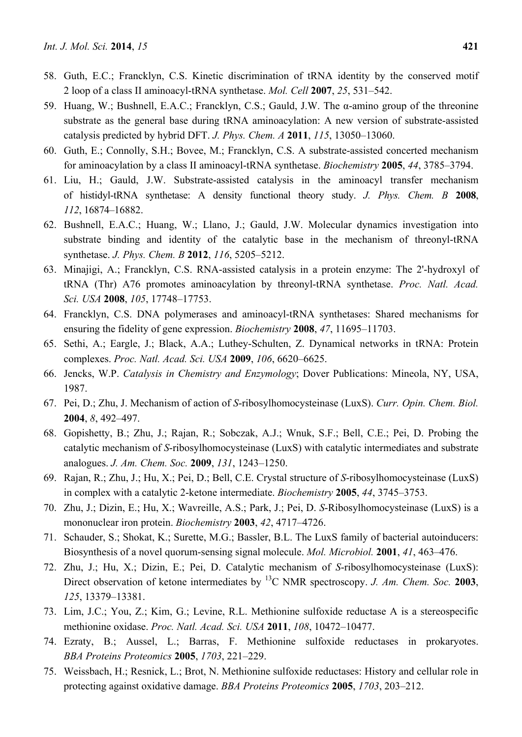- 58. Guth, E.C.; Francklyn, C.S. Kinetic discrimination of tRNA identity by the conserved motif 2 loop of a class II aminoacyl-tRNA synthetase. *Mol. Cell* **2007**, *25*, 531–542.
- 59. Huang, W.; Bushnell, E.A.C.; Francklyn, C.S.; Gauld, J.W. The α-amino group of the threonine substrate as the general base during tRNA aminoacylation: A new version of substrate-assisted catalysis predicted by hybrid DFT. *J. Phys. Chem. A* **2011**, *115*, 13050–13060.
- 60. Guth, E.; Connolly, S.H.; Bovee, M.; Francklyn, C.S. A substrate-assisted concerted mechanism for aminoacylation by a class II aminoacyl-tRNA synthetase. *Biochemistry* **2005**, *44*, 3785–3794.
- 61. Liu, H.; Gauld, J.W. Substrate-assisted catalysis in the aminoacyl transfer mechanism of histidyl-tRNA synthetase: A density functional theory study. *J. Phys. Chem. B* **2008**, *112*, 16874–16882.
- 62. Bushnell, E.A.C.; Huang, W.; Llano, J.; Gauld, J.W. Molecular dynamics investigation into substrate binding and identity of the catalytic base in the mechanism of threonyl-tRNA synthetase. *J. Phys. Chem. B* **2012**, *116*, 5205–5212.
- 63. Minajigi, A.; Francklyn, C.S. RNA-assisted catalysis in a protein enzyme: The 2'-hydroxyl of tRNA (Thr) A76 promotes aminoacylation by threonyl-tRNA synthetase. *Proc. Natl. Acad. Sci. USA* **2008**, *105*, 17748–17753.
- 64. Francklyn, C.S. DNA polymerases and aminoacyl-tRNA synthetases: Shared mechanisms for ensuring the fidelity of gene expression. *Biochemistry* **2008**, *47*, 11695–11703.
- 65. Sethi, A.; Eargle, J.; Black, A.A.; Luthey-Schulten, Z. Dynamical networks in tRNA: Protein complexes. *Proc. Natl. Acad. Sci. USA* **2009**, *106*, 6620–6625.
- 66. Jencks, W.P. *Catalysis in Chemistry and Enzymology*; Dover Publications: Mineola, NY, USA, 1987.
- 67. Pei, D.; Zhu, J. Mechanism of action of *S*-ribosylhomocysteinase (LuxS). *Curr. Opin. Chem. Biol.* **2004**, *8*, 492–497.
- 68. Gopishetty, B.; Zhu, J.; Rajan, R.; Sobczak, A.J.; Wnuk, S.F.; Bell, C.E.; Pei, D. Probing the catalytic mechanism of *S*-ribosylhomocysteinase (LuxS) with catalytic intermediates and substrate analogues. *J. Am. Chem. Soc.* **2009**, *131*, 1243–1250.
- 69. Rajan, R.; Zhu, J.; Hu, X.; Pei, D.; Bell, C.E. Crystal structure of *S*-ribosylhomocysteinase (LuxS) in complex with a catalytic 2-ketone intermediate. *Biochemistry* **2005**, *44*, 3745–3753.
- 70. Zhu, J.; Dizin, E.; Hu, X.; Wavreille, A.S.; Park, J.; Pei, D. *S*-Ribosylhomocysteinase (LuxS) is a mononuclear iron protein. *Biochemistry* **2003**, *42*, 4717–4726.
- 71. Schauder, S.; Shokat, K.; Surette, M.G.; Bassler, B.L. The LuxS family of bacterial autoinducers: Biosynthesis of a novel quorum-sensing signal molecule. *Mol. Microbiol.* **2001**, *41*, 463–476.
- 72. Zhu, J.; Hu, X.; Dizin, E.; Pei, D. Catalytic mechanism of *S*-ribosylhomocysteinase (LuxS): Direct observation of ketone intermediates by <sup>13</sup>C NMR spectroscopy. *J. Am. Chem. Soc.* **2003**, *125*, 13379–13381.
- 73. Lim, J.C.; You, Z.; Kim, G.; Levine, R.L. Methionine sulfoxide reductase A is a stereospecific methionine oxidase. *Proc. Natl. Acad. Sci. USA* **2011**, *108*, 10472–10477.
- 74. Ezraty, B.; Aussel, L.; Barras, F. Methionine sulfoxide reductases in prokaryotes. *BBA Proteins Proteomics* **2005**, *1703*, 221–229.
- 75. Weissbach, H.; Resnick, L.; Brot, N. Methionine sulfoxide reductases: History and cellular role in protecting against oxidative damage. *BBA Proteins Proteomics* **2005**, *1703*, 203–212.